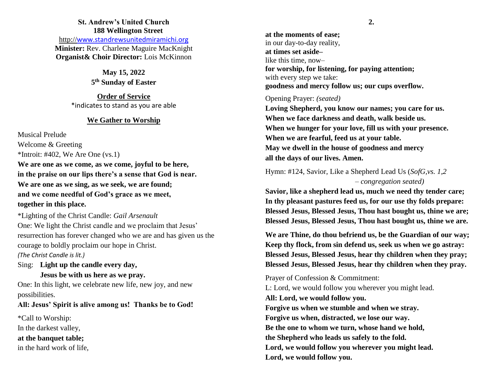# **St. Andrew's United Church 188 Wellington Street**

http://[www.standrewsunitedmiramichi.org](http://www.standrewsunitedmiramichi.org/) **Minister:** Rev. Charlene Maguire MacKnight **Organist& Choir Director:** Lois McKinnon

> **May 15, 2022 5 th Sunday of Easter**

**Order of Service** \*indicates to stand as you are able

#### **We Gather to Worship**

Musical Prelude Welcome & Greeting  $*$ Introit: #402, We Are One (vs.1)

**We are one as we come, as we come, joyful to be here, in the praise on our lips there's a sense that God is near. We are one as we sing, as we seek, we are found; and we come needful of God's grace as we meet, together in this place.**

\*Lighting of the Christ Candle: *Gail Arsenault* One: We light the Christ candle and we proclaim that Jesus' resurrection has forever changed who we are and has given us the courage to boldly proclaim our hope in Christ. *(The Christ Candle is lit.)*

Sing: **Light up the candle every day, Jesus be with us here as we pray.**

One: In this light, we celebrate new life, new joy, and new possibilities.

## **All: Jesus' Spirit is alive among us! Thanks be to God!**

\*Call to Worship:

In the darkest valley,

**at the banquet table;**

in the hard work of life,

**at the moments of ease;** in our day-to-day reality, **at times set aside–** like this time, now– **for worship, for listening, for paying attention;** with every step we take: **goodness and mercy follow us; our cups overflow.**

## Opening Prayer: *(seated)*

**Loving Shepherd, you know our names; you care for us. When we face darkness and death, walk beside us. When we hunger for your love, fill us with your presence. When we are fearful, feed us at your table. May we dwell in the house of goodness and mercy all the days of our lives. Amen.**

Hymn: #124, Savior, Like a Shepherd Lead Us (*SofG,vs. 1,2 – congregation seated)*

**Savior, like a shepherd lead us, much we need thy tender care; In thy pleasant pastures feed us, for our use thy folds prepare: Blessed Jesus, Blessed Jesus, Thou hast bought us, thine we are; Blessed Jesus, Blessed Jesus, Thou hast bought us, thine we are.**

**We are Thine, do thou befriend us, be the Guardian of our way; Keep thy flock, from sin defend us, seek us when we go astray: Blessed Jesus, Blessed Jesus, hear thy children when they pray; Blessed Jesus, Blessed Jesus, hear thy children when they pray.**

Prayer of Confession & Commitment:

L: Lord, we would follow you wherever you might lead. **All: Lord, we would follow you. Forgive us when we stumble and when we stray. Forgive us when, distracted, we lose our way. Be the one to whom we turn, whose hand we hold, the Shepherd who leads us safely to the fold. Lord, we would follow you wherever you might lead. Lord, we would follow you.**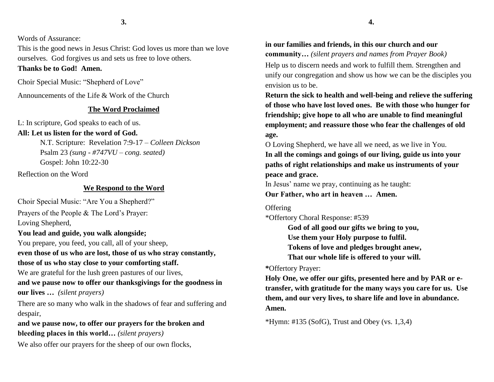Words of Assurance:

This is the good news in Jesus Christ: God loves us more than we love ourselves. God forgives us and sets us free to love others. **Thanks be to God! Amen.**

# Choir Special Music: "Shepherd of Love"

Announcements of the Life & Work of the Church

#### **The Word Proclaimed**

L: In scripture, God speaks to each of us. **All: Let us listen for the word of God.**

N.T. Scripture: Revelation 7:9-17 – *Colleen Dickson* Psalm 23 *(sung - #747VU – cong. seated)*

Gospel: John 10:22-30

Reflection on the Word

#### **We Respond to the Word**

Choir Special Music: "Are You a Shepherd?"

Prayers of the People & The Lord's Prayer: Loving Shepherd,

**You lead and guide, you walk alongside;**

You prepare, you feed, you call, all of your sheep,

**even those of us who are lost, those of us who stray constantly, those of us who stay close to your comforting staff.**

We are grateful for the lush green pastures of our lives,

**and we pause now to offer our thanksgivings for the goodness in our lives …** *(silent prayers)*

There are so many who walk in the shadows of fear and suffering and despair,

**and we pause now, to offer our prayers for the broken and bleeding places in this world…** *(silent prayers)*

We also offer our prayers for the sheep of our own flocks,

# **in our families and friends, in this our church and our community…** *(silent prayers and names from Prayer Book)*

Help us to discern needs and work to fulfill them. Strengthen and unify our congregation and show us how we can be the disciples you envision us to be.

**Return the sick to health and well-being and relieve the suffering of those who have lost loved ones. Be with those who hunger for friendship; give hope to all who are unable to find meaningful employment; and reassure those who fear the challenges of old age.**

O Loving Shepherd, we have all we need, as we live in You. **In all the comings and goings of our living, guide us into your** 

**paths of right relationships and make us instruments of your peace and grace.** 

In Jesus' name we pray, continuing as he taught: **Our Father, who art in heaven … Amen.**

#### **Offering**

\*Offertory Choral Response: #539

**God of all good our gifts we bring to you, Use them your Holy purpose to fulfil. Tokens of love and pledges brought anew, That our whole life is offered to your will.**

## **\***Offertory Prayer:

**Holy One, we offer our gifts, presented here and by PAR or etransfer, with gratitude for the many ways you care for us. Use them, and our very lives, to share life and love in abundance. Amen.**

 $*$ Hymn: #135 (SofG), Trust and Obey (vs. 1,3,4)

**4.**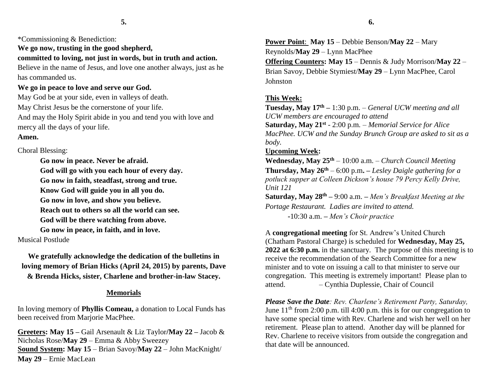\*Commissioning & Benediction:

**We go now, trusting in the good shepherd, committed to loving, not just in words, but in truth and action.** Believe in the name of Jesus, and love one another always, just as he has commanded us.

## **We go in peace to love and serve our God.**

May God be at your side, even in valleys of death. May Christ Jesus be the cornerstone of your life. And may the Holy Spirit abide in you and tend you with love and mercy all the days of your life.

# **Amen.**

Choral Blessing:

**Go now in peace. Never be afraid. God will go with you each hour of every day. Go now in faith, steadfast, strong and true. Know God will guide you in all you do. Go now in love, and show you believe. Reach out to others so all the world can see. God will be there watching from above. Go now in peace, in faith, and in love.**

# Musical Postlude

**We gratefully acknowledge the dedication of the bulletins in loving memory of Brian Hicks (April 24, 2015) by parents, Dave & Brenda Hicks, sister, Charlene and brother-in-law Stacey.**

#### **Memorials**

In loving memory of **Phyllis Comeau,** a donation to Local Funds has been received from Marjorie MacPhee.

**Greeters: May 15 –** Gail Arsenault & Liz Taylor**/May 22 –** Jacob & Nicholas Rose/**May 29** – Emma & Abby Sweezey **Sound System: May 15** – Brian Savoy/**May 22** – John MacKnight/ **May 29** – Ernie MacLean

**Power Point**: **May 15** – Debbie Benson/**May 22** – Mary Reynolds/**May 29** – Lynn MacPhee **Offering Counters: May 15** – Dennis & Judy Morrison/**May 22** – Brian Savoy, Debbie Stymiest/**May 29** – Lynn MacPhee, Carol Johnston

## **This Week:**

**Tuesday, May 17th –** 1:30 p.m. – *General UCW meeting and all UCW members are encouraged to attend* **Saturday, May 21st** *-* 2:00 p.m*. – Memorial Service for Alice MacPhee. UCW and the Sunday Brunch Group are asked to sit as a body.* 

# **Upcoming Week:**

**Wednesday, May 25th** – 10:00 a.m. *– Church Council Meeting* **Thursday, May 26th** – 6:00 p.m**.** *– Lesley Daigle gathering for a potluck supper at Colleen Dickson's house 79 Percy Kelly Drive, Unit 121*

**Saturday, May 28th –** 9:00 a.m. **–** *Men's Breakfast Meeting at the Portage Restaurant. Ladies are invited to attend.*

**-**10:30 a.m. **–** *Men's Choir practice*

A **congregational meeting** for St. Andrew's United Church (Chatham Pastoral Charge) is scheduled for **Wednesday, May 25, 2022 at 6:30 p.m.** in the sanctuary. The purpose of this meeting is to receive the recommendation of the Search Committee for a new minister and to vote on issuing a call to that minister to serve our congregation. This meeting is extremely important! Please plan to attend. – Cynthia Duplessie, Chair of Council

*Please Save the Date: Rev. Charlene's Retirement Party, Saturday,* June  $11<sup>th</sup>$  from 2:00 p.m. till 4:00 p.m. this is for our congregation to have some special time with Rev. Charlene and wish her well on her retirement. Please plan to attend. Another day will be planned for Rev. Charlene to receive visitors from outside the congregation and that date will be announced.